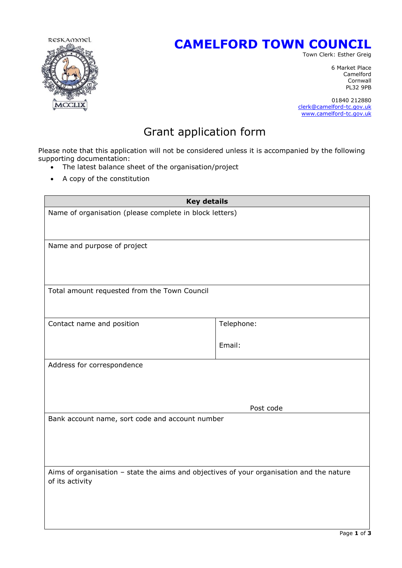

## **CAMELFORD TOWN COUNCIL**

Town Clerk: Esther Greig

6 Market Place Camelford Cornwall<br>PL32 9PB PL32 9PB

> 01840 212880 [clerk@camelford-tc.gov.uk](mailto:clerk@camelford-tc.gov.uk) [www.camelford-tc.gov.uk](http://www.camelfordtown.net/)

## Grant application form

Please note that this application will not be considered unless it is accompanied by the following supporting documentation:

- The latest balance sheet of the organisation/project
- A copy of the constitution

| <b>Key details</b>                                                                       |            |  |
|------------------------------------------------------------------------------------------|------------|--|
| Name of organisation (please complete in block letters)                                  |            |  |
|                                                                                          |            |  |
|                                                                                          |            |  |
| Name and purpose of project                                                              |            |  |
|                                                                                          |            |  |
|                                                                                          |            |  |
| Total amount requested from the Town Council                                             |            |  |
|                                                                                          |            |  |
|                                                                                          |            |  |
| Contact name and position                                                                | Telephone: |  |
|                                                                                          | Email:     |  |
|                                                                                          |            |  |
| Address for correspondence                                                               |            |  |
|                                                                                          |            |  |
|                                                                                          |            |  |
|                                                                                          | Post code  |  |
| Bank account name, sort code and account number                                          |            |  |
|                                                                                          |            |  |
|                                                                                          |            |  |
|                                                                                          |            |  |
| Aims of organisation - state the aims and objectives of your organisation and the nature |            |  |
| of its activity                                                                          |            |  |
|                                                                                          |            |  |
|                                                                                          |            |  |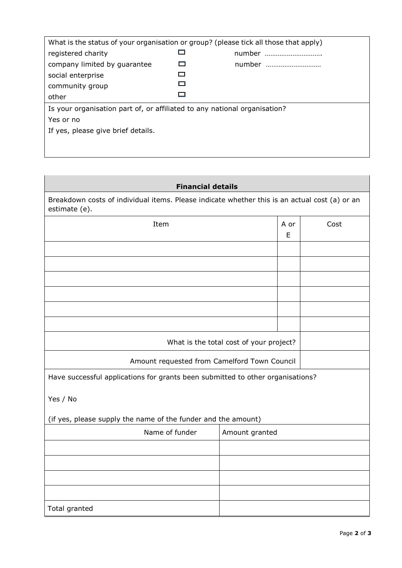| What is the status of your organisation or group? (please tick all those that apply) |        |
|--------------------------------------------------------------------------------------|--------|
| registered charity                                                                   | number |
| company limited by guarantee                                                         | number |
| social enterprise                                                                    |        |
| community group                                                                      |        |
| other                                                                                |        |
| Is your organisation part of, or affiliated to any national organisation?            |        |
| Yes or no                                                                            |        |
| If yes, please give brief details.                                                   |        |
|                                                                                      |        |
|                                                                                      |        |

## **Financial details**

Breakdown costs of individual items. Please indicate whether this is an actual cost (a) or an estimate (e).

| Item                                                                           |                | A or<br>E | Cost |  |
|--------------------------------------------------------------------------------|----------------|-----------|------|--|
|                                                                                |                |           |      |  |
|                                                                                |                |           |      |  |
|                                                                                |                |           |      |  |
|                                                                                |                |           |      |  |
|                                                                                |                |           |      |  |
|                                                                                |                |           |      |  |
| What is the total cost of your project?                                        |                |           |      |  |
| Amount requested from Camelford Town Council                                   |                |           |      |  |
| Have successful applications for grants been submitted to other organisations? |                |           |      |  |
| Yes / No                                                                       |                |           |      |  |
| (if yes, please supply the name of the funder and the amount)                  |                |           |      |  |
| Name of funder                                                                 | Amount granted |           |      |  |
|                                                                                |                |           |      |  |
|                                                                                |                |           |      |  |
|                                                                                |                |           |      |  |
|                                                                                |                |           |      |  |
| Total granted                                                                  |                |           |      |  |